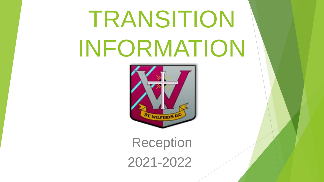# TRANSITION INFORMATION



Reception 2021-2022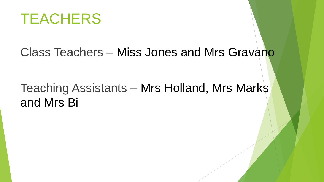

### Class Teachers – Miss Jones and Mrs Gravano

### Teaching Assistants – Mrs Holland, Mrs Marks and Mrs Bi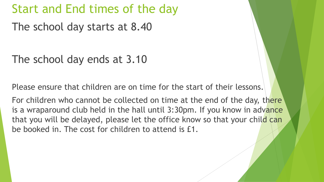### Start and End times of the day

The school day starts at 8.40

The school day ends at 3.10

Please ensure that children are on time for the start of their lessons.

For children who cannot be collected on time at the end of the day, there is a wraparound club held in the hall until 3:30pm. If you know in advance that you will be delayed, please let the office know so that your child can be booked in. The cost for children to attend is £1.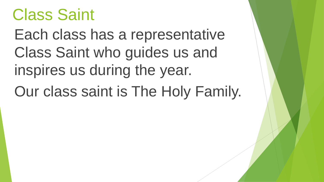## Class Saint

Each class has a representative Class Saint who guides us and inspires us during the year.

Our class saint is The Holy Family.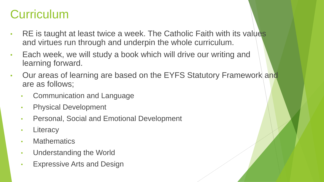### **Curriculum**

- RE is taught at least twice a week. The Catholic Faith with its values and virtues run through and underpin the whole curriculum.
- Each week, we will study a book which will drive our writing and learning forward.
- Our areas of learning are based on the EYFS Statutory Framework and are as follows;
	- Communication and Language
	- Physical Development
	- Personal, Social and Emotional Development
	- Literacy
	- Mathematics
	- Understanding the World
	- **Expressive Arts and Design**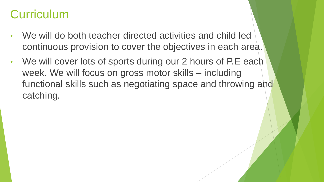### **Curriculum**

- We will do both teacher directed activities and child led continuous provision to cover the objectives in each area.
- We will cover lots of sports during our 2 hours of P.E each week. We will focus on gross motor skills – including functional skills such as negotiating space and throwing and catching.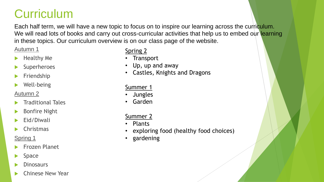### **Curriculum**

Each half term, we will have a new topic to focus on to inspire our learning across the curriculum. We will read lots of books and carry out cross-curricular activities that help us to embed our learning in these topics. Our curriculum overview is on our class page of the website.

#### Autumn 1

- Healthy Me
- Superheroes
- Friendship
- Well-being

#### Autumn 2

- Traditional Tales
- Bonfire Night
- Eid/Diwali
- Christmas

#### Spring 1

- Frozen Planet
- Space
- **Dinosaurs**
- Chinese New Year

#### Spring 2

- Transport
- Up, up and away
- Castles, Knights and Dragons

#### Summer 1

- Jungles
- Garden

#### Summer 2

- Plants
- exploring food (healthy food choices)
- gardening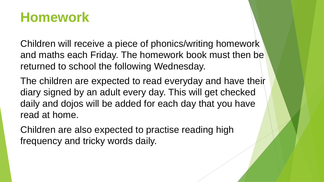### **Homework**

Children will receive a piece of phonics/writing homework and maths each Friday. The homework book must then be returned to school the following Wednesday.

The children are expected to read everyday and have their diary signed by an adult every day. This will get checked daily and dojos will be added for each day that you have read at home.

Children are also expected to practise reading high frequency and tricky words daily.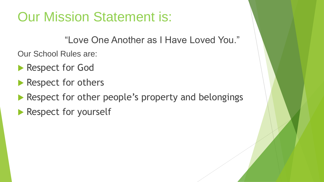### Our Mission Statement is:

"Love One Another as I Have Loved You."

Our School Rules are:

- Respect for God
- Respect for others
- Respect for other people's property and belongings
- Respect for yourself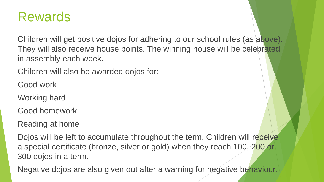### Rewards

Children will get positive dojos for adhering to our school rules (as above). They will also receive house points. The winning house will be celebrated in assembly each week.

Children will also be awarded dojos for:

Good work

Working hard

Good homework

Reading at home

Dojos will be left to accumulate throughout the term. Children will receive a special certificate (bronze, silver or gold) when they reach 100, 200 or 300 dojos in a term.

Negative dojos are also given out after a warning for negative behaviour.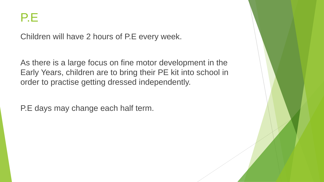

Children will have 2 hours of P.E every week.

As there is a large focus on fine motor development in the Early Years, children are to bring their PE kit into school in order to practise getting dressed independently.

P.E days may change each half term.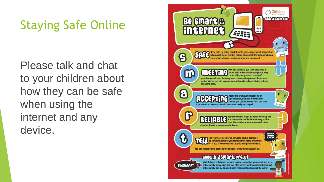### Staying Safe Online

Please talk and chat to your children about how they can be safe when using the internet and any device.